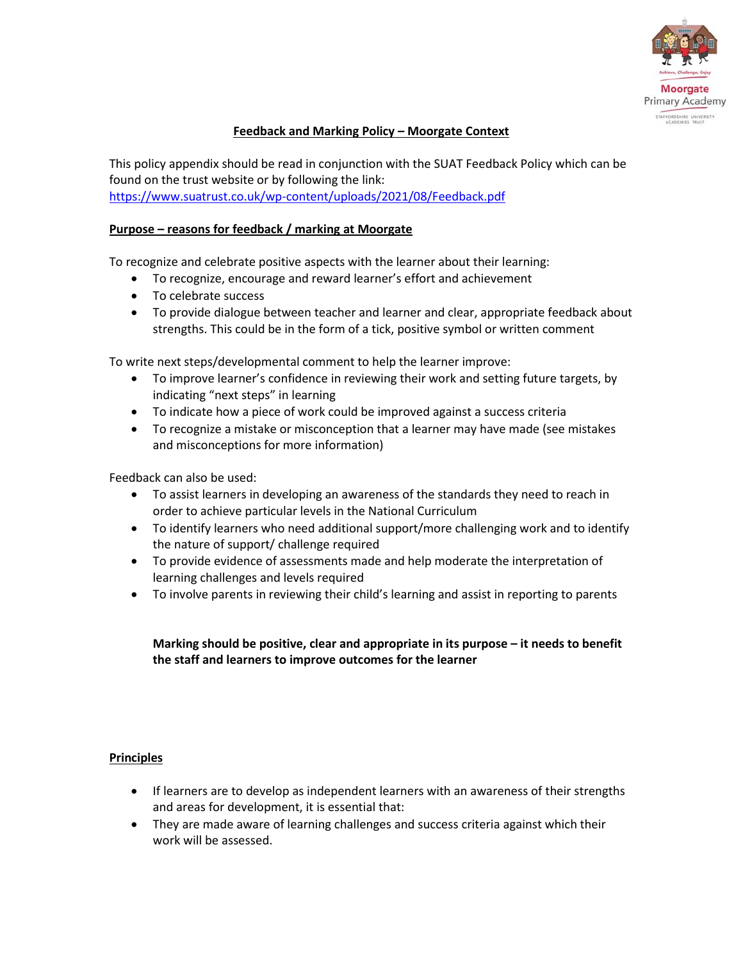

# **Feedback and Marking Policy – Moorgate Context**

This policy appendix should be read in conjunction with the SUAT Feedback Policy which can be found on the trust website or by following the link: <https://www.suatrust.co.uk/wp-content/uploads/2021/08/Feedback.pdf>

## **Purpose – reasons for feedback / marking at Moorgate**

To recognize and celebrate positive aspects with the learner about their learning:

- To recognize, encourage and reward learner's effort and achievement
- To celebrate success
- To provide dialogue between teacher and learner and clear, appropriate feedback about strengths. This could be in the form of a tick, positive symbol or written comment

To write next steps/developmental comment to help the learner improve:

- To improve learner's confidence in reviewing their work and setting future targets, by indicating "next steps" in learning
- To indicate how a piece of work could be improved against a success criteria
- To recognize a mistake or misconception that a learner may have made (see mistakes and misconceptions for more information)

Feedback can also be used:

- To assist learners in developing an awareness of the standards they need to reach in order to achieve particular levels in the National Curriculum
- To identify learners who need additional support/more challenging work and to identify the nature of support/ challenge required
- To provide evidence of assessments made and help moderate the interpretation of learning challenges and levels required
- To involve parents in reviewing their child's learning and assist in reporting to parents

**Marking should be positive, clear and appropriate in its purpose – it needs to benefit the staff and learners to improve outcomes for the learner**

## **Principles**

- If learners are to develop as independent learners with an awareness of their strengths and areas for development, it is essential that:
- They are made aware of learning challenges and success criteria against which their work will be assessed.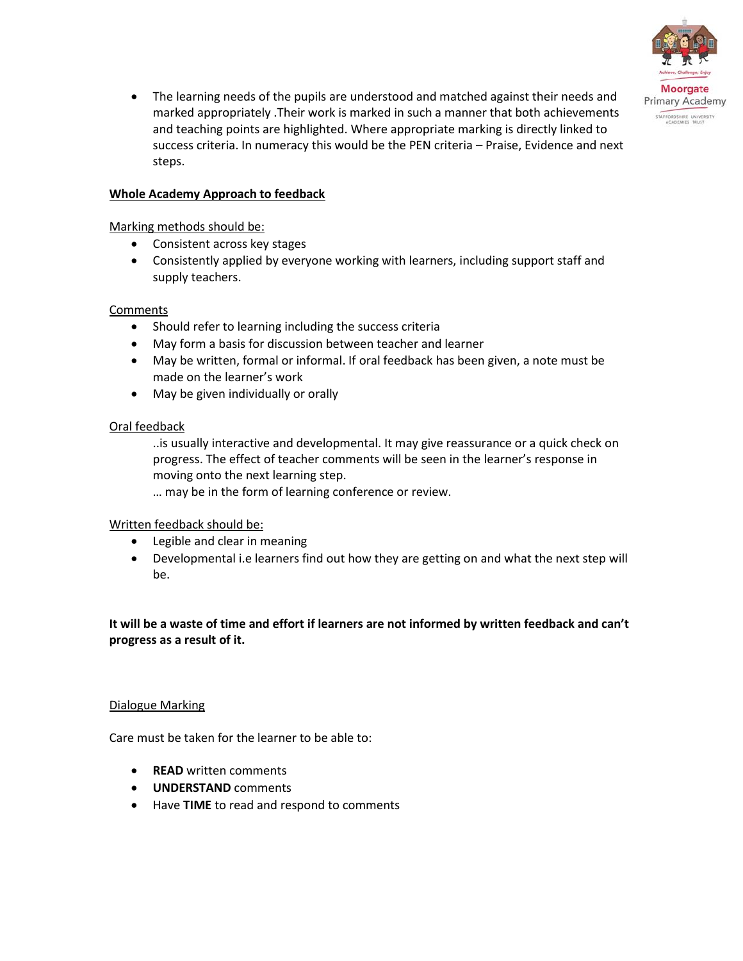

 The learning needs of the pupils are understood and matched against their needs and marked appropriately .Their work is marked in such a manner that both achievements and teaching points are highlighted. Where appropriate marking is directly linked to success criteria. In numeracy this would be the PEN criteria – Praise, Evidence and next steps.

## **Whole Academy Approach to feedback**

## Marking methods should be:

- Consistent across key stages
- Consistently applied by everyone working with learners, including support staff and supply teachers.

## Comments

- Should refer to learning including the success criteria
- May form a basis for discussion between teacher and learner
- May be written, formal or informal. If oral feedback has been given, a note must be made on the learner's work
- May be given individually or orally

## Oral feedback

..is usually interactive and developmental. It may give reassurance or a quick check on progress. The effect of teacher comments will be seen in the learner's response in moving onto the next learning step.

… may be in the form of learning conference or review.

## Written feedback should be:

- Legible and clear in meaning
- Developmental i.e learners find out how they are getting on and what the next step will be.

# **It will be a waste of time and effort if learners are not informed by written feedback and can't progress as a result of it.**

## Dialogue Marking

Care must be taken for the learner to be able to:

- **READ** written comments
- **UNDERSTAND** comments
- Have **TIME** to read and respond to comments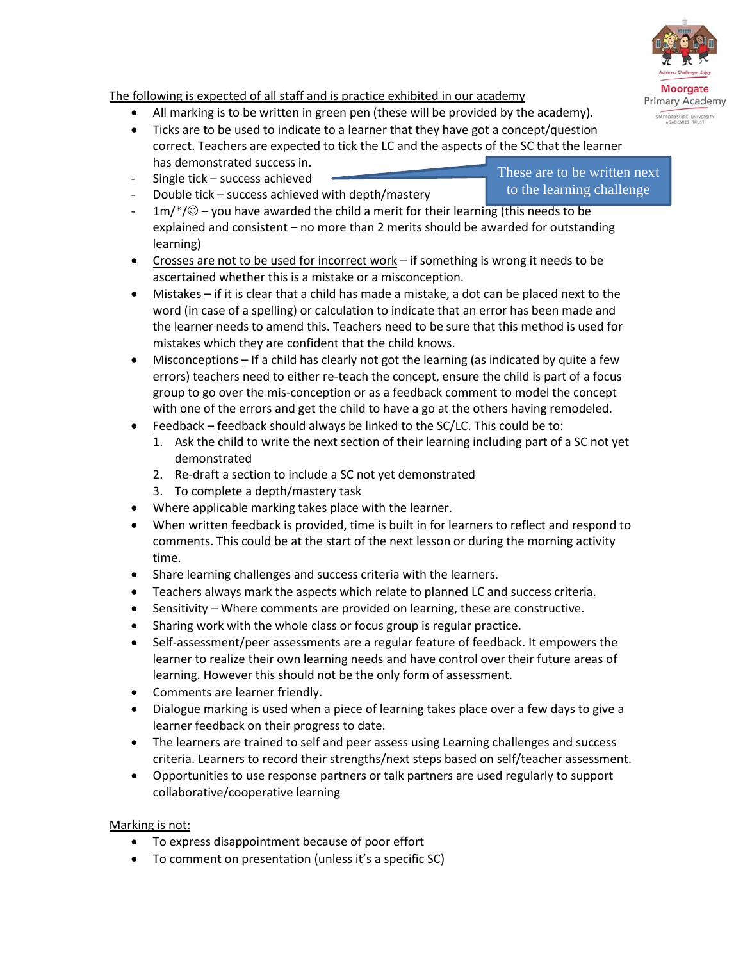# The following is expected of all staff and is practice exhibited in our academy

- All marking is to be written in green pen (these will be provided by the academy).
- Ticks are to be used to indicate to a learner that they have got a concept/question correct. Teachers are expected to tick the LC and the aspects of the SC that the learner has demonstrated success in.
- Single tick success achieved
- Double tick success achieved with depth/mastery
- $1m$ / $\degree$  you have awarded the child a merit for their learning (this needs to be explained and consistent – no more than 2 merits should be awarded for outstanding learning)
- Crosses are not to be used for incorrect work if something is wrong it needs to be ascertained whether this is a mistake or a misconception.
- Mistakes if it is clear that a child has made a mistake, a dot can be placed next to the word (in case of a spelling) or calculation to indicate that an error has been made and the learner needs to amend this. Teachers need to be sure that this method is used for mistakes which they are confident that the child knows.
- Misconceptions If a child has clearly not got the learning (as indicated by quite a few errors) teachers need to either re-teach the concept, ensure the child is part of a focus group to go over the mis-conception or as a feedback comment to model the concept with one of the errors and get the child to have a go at the others having remodeled.
- Feedback feedback should always be linked to the SC/LC. This could be to:
	- 1. Ask the child to write the next section of their learning including part of a SC not yet demonstrated
	- 2. Re-draft a section to include a SC not yet demonstrated
	- 3. To complete a depth/mastery task
- Where applicable marking takes place with the learner.
- When written feedback is provided, time is built in for learners to reflect and respond to comments. This could be at the start of the next lesson or during the morning activity time.
- Share learning challenges and success criteria with the learners.
- Teachers always mark the aspects which relate to planned LC and success criteria.
- Sensitivity Where comments are provided on learning, these are constructive.
- Sharing work with the whole class or focus group is regular practice.
- Self-assessment/peer assessments are a regular feature of feedback. It empowers the learner to realize their own learning needs and have control over their future areas of learning. However this should not be the only form of assessment.
- Comments are learner friendly.
- Dialogue marking is used when a piece of learning takes place over a few days to give a learner feedback on their progress to date.
- The learners are trained to self and peer assess using Learning challenges and success criteria. Learners to record their strengths/next steps based on self/teacher assessment.
- Opportunities to use response partners or talk partners are used regularly to support collaborative/cooperative learning

# Marking is not:

- To express disappointment because of poor effort
- To comment on presentation (unless it's a specific SC)

These are to be written next to the learning challenge

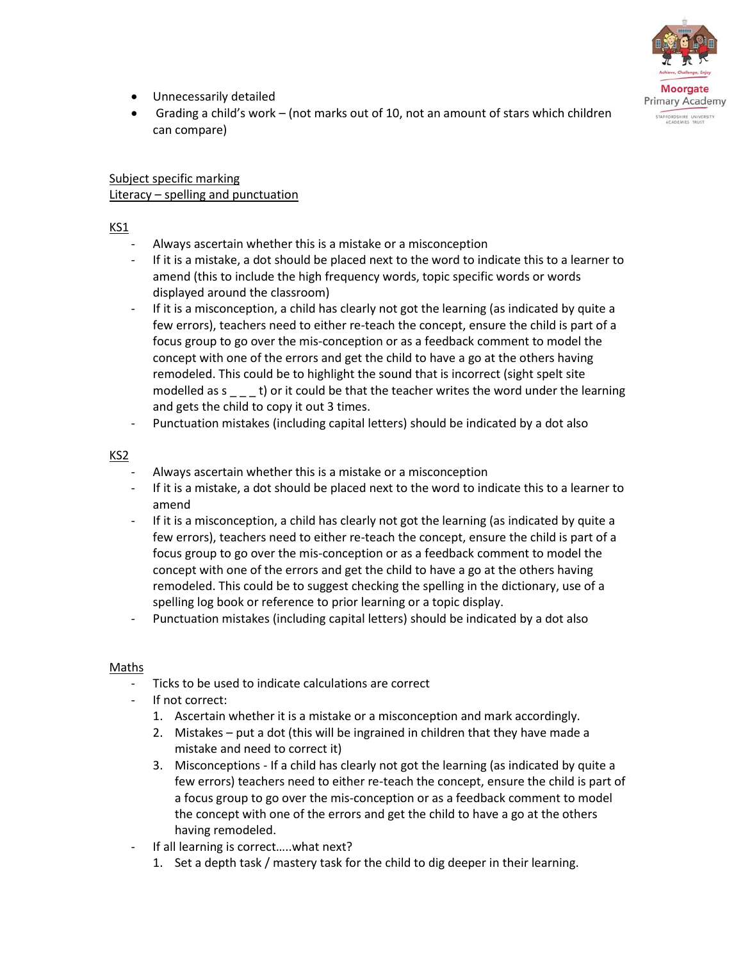

- Unnecessarily detailed
- Grading a child's work (not marks out of 10, not an amount of stars which children can compare)

## Subject specific marking Literacy – spelling and punctuation

# KS1

- Always ascertain whether this is a mistake or a misconception
- If it is a mistake, a dot should be placed next to the word to indicate this to a learner to amend (this to include the high frequency words, topic specific words or words displayed around the classroom)
- If it is a misconception, a child has clearly not got the learning (as indicated by quite a few errors), teachers need to either re-teach the concept, ensure the child is part of a focus group to go over the mis-conception or as a feedback comment to model the concept with one of the errors and get the child to have a go at the others having remodeled. This could be to highlight the sound that is incorrect (sight spelt site modelled as  $s = -t$ ) or it could be that the teacher writes the word under the learning and gets the child to copy it out 3 times.
- Punctuation mistakes (including capital letters) should be indicated by a dot also

## KS2

- Always ascertain whether this is a mistake or a misconception
- If it is a mistake, a dot should be placed next to the word to indicate this to a learner to amend
- If it is a misconception, a child has clearly not got the learning (as indicated by quite a few errors), teachers need to either re-teach the concept, ensure the child is part of a focus group to go over the mis-conception or as a feedback comment to model the concept with one of the errors and get the child to have a go at the others having remodeled. This could be to suggest checking the spelling in the dictionary, use of a spelling log book or reference to prior learning or a topic display.
- Punctuation mistakes (including capital letters) should be indicated by a dot also

## Maths

- Ticks to be used to indicate calculations are correct
- If not correct:
	- 1. Ascertain whether it is a mistake or a misconception and mark accordingly.
	- 2. Mistakes put a dot (this will be ingrained in children that they have made a mistake and need to correct it)
	- 3. Misconceptions If a child has clearly not got the learning (as indicated by quite a few errors) teachers need to either re-teach the concept, ensure the child is part of a focus group to go over the mis-conception or as a feedback comment to model the concept with one of the errors and get the child to have a go at the others having remodeled.
- If all learning is correct.....what next?
	- 1. Set a depth task / mastery task for the child to dig deeper in their learning.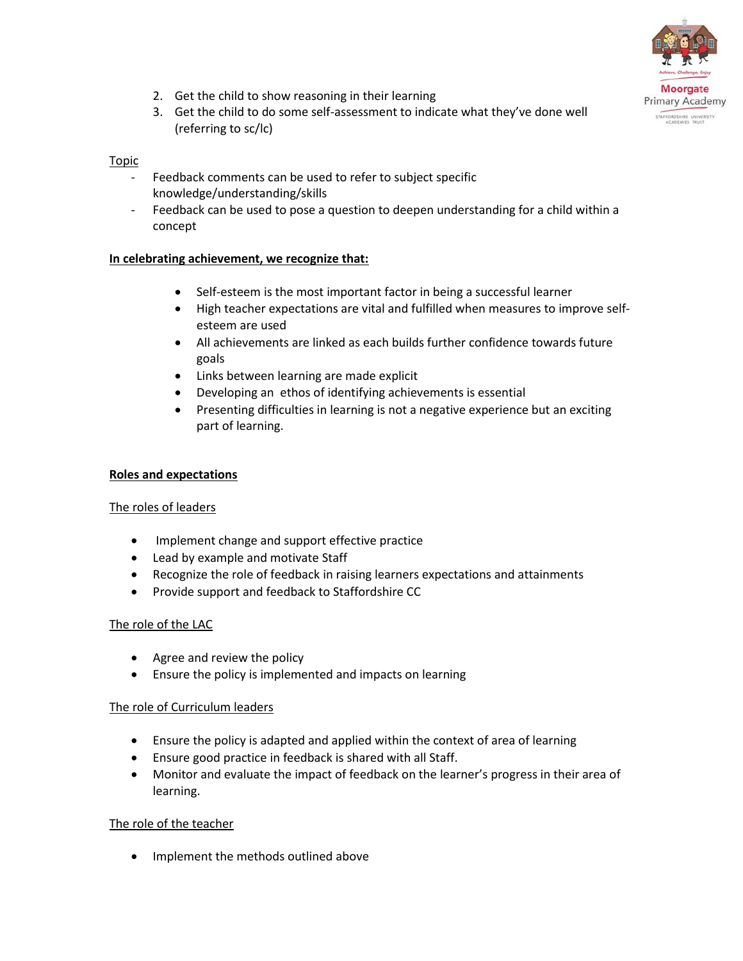

- 2. Get the child to show reasoning in their learning
- 3. Get the child to do some self-assessment to indicate what they've done well (referring to sc/lc)

#### Topic

- Feedback comments can be used to refer to subject specific knowledge/understanding/skills
- Feedback can be used to pose a question to deepen understanding for a child within a concept

#### **In celebrating achievement, we recognize that:**

- Self-esteem is the most important factor in being a successful learner
- High teacher expectations are vital and fulfilled when measures to improve selfesteem are used
- All achievements are linked as each builds further confidence towards future goals
- Links between learning are made explicit
- Developing an ethos of identifying achievements is essential
- Presenting difficulties in learning is not a negative experience but an exciting part of learning.

#### **Roles and expectations**

## The roles of leaders

- Implement change and support effective practice
- Lead by example and motivate Staff
- Recognize the role of feedback in raising learners expectations and attainments
- Provide support and feedback to Staffordshire CC

## The role of the LAC

- Agree and review the policy
- Ensure the policy is implemented and impacts on learning

## The role of Curriculum leaders

- Ensure the policy is adapted and applied within the context of area of learning
- Ensure good practice in feedback is shared with all Staff.
- Monitor and evaluate the impact of feedback on the learner's progress in their area of learning.

## The role of the teacher

• Implement the methods outlined above